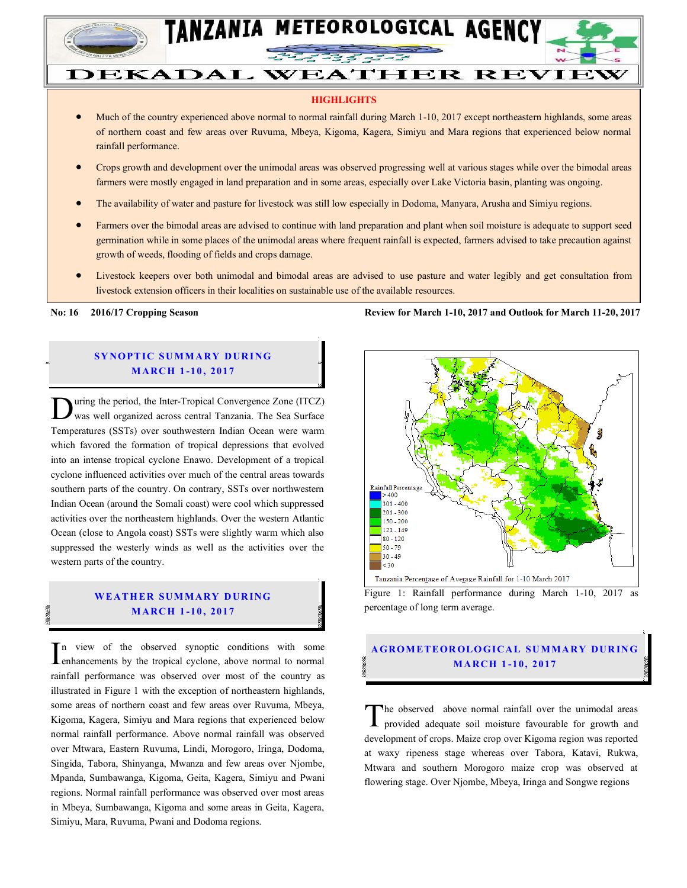

# TANZANIA METEOROLOGICAL AGENCY

#### **HIGHLIGHTS**

**DEKADAL WEATHER REVIEW** 

- Much of the country experienced above normal to normal rainfall during March 1-10, 2017 except northeastern highlands, some areas of northern coast and few areas over Ruvuma, Mbeya, Kigoma, Kagera, Simiyu and Mara regions that experienced below normal rainfall performance.
- Crops growth and development over the unimodal areas was observed progressing well at various stages while over the bimodal areas farmers were mostly engaged in land preparation and in some areas, especially over Lake Victoria basin, planting was ongoing.
- The availability of water and pasture for livestock was still low especially in Dodoma, Manyara, Arusha and Simiyu regions.
- Farmers over the bimodal areas are advised to continue with land preparation and plant when soil moisture is adequate to support seed germination while in some places of the unimodal areas where frequent rainfall is expected, farmers advised to take precaution against growth of weeds, flooding of fields and crops damage.
- Livestock keepers over both unimodal and bimodal areas are advised to use pasture and water legibly and get consultation from livestock extension officers in their localities on sustainable use of the available resources.

#### **SYNOPTIC SUMMARY DURING M ARCH 1 -10 , 2017**

uring the period, the Inter-Tropical Convergence Zone (ITCZ) was well organized across central Tanzania. The Sea Surface Ultrage the period, the Inter-Tropical Convergence Zone (ITCZ) was well organized across central Tanzania. The Sea Surface Temperatures (SSTs) over southwestern Indian Ocean were warm which favored the formation of tropical depressions that evolved into an intense tropical cyclone Enawo. Development of a tropical cyclone influenced activities over much of the central areas towards southern parts of the country. On contrary, SSTs over northwestern Indian Ocean (around the Somali coast) were cool which suppressed activities over the northeastern highlands. Over the western Atlantic Ocean (close to Angola coast) SSTs were slightly warm which also suppressed the westerly winds as well as the activities over the western parts of the country.

#### **W EATH ER SUM MARY D UR ING M ARCH 1 -10 , 2017**

n view of the observed synoptic conditions with some  $\prod_{n=1}^{\infty}$  view of the observed synoptic conditions with some enhancements by the tropical cyclone, above normal to normal rainfall performance was observed over most of the country as illustrated in Figure 1 with the exception of northeastern highlands, some areas of northern coast and few areas over Ruvuma, Mbeya, Kigoma, Kagera, Simiyu and Mara regions that experienced below normal rainfall performance. Above normal rainfall was observed over Mtwara, Eastern Ruvuma, Lindi, Morogoro, Iringa, Dodoma, Singida, Tabora, Shinyanga, Mwanza and few areas over Njombe, Mpanda, Sumbawanga, Kigoma, Geita, Kagera, Simiyu and Pwani regions. Normal rainfall performance was observed over most areas in Mbeya, Sumbawanga, Kigoma and some areas in Geita, Kagera, Simiyu, Mara, Ruvuma, Pwani and Dodoma regions.

**No: 16 2016/17 Cropping Season Review for March 1-10, 2017 and Outlook for March 11-20, 2017**



Figure 1: Rainfall performance during March 1-10, 2017 as percentage of long term average.

### **A GROM ETEOR OLO GICAL SU MMA RY DUR IN G M ARCH 1 -10 , 2017**

he observed above normal rainfall over the unimodal areas provided adequate soil moisture favourable for growth and development of crops. Maize crop over Kigoma region was reported at waxy ripeness stage whereas over Tabora, Katavi, Rukwa, Mtwara and southern Morogoro maize crop was observed at flowering stage. Over Njombe, Mbeya, Iringa and Songwe regions T